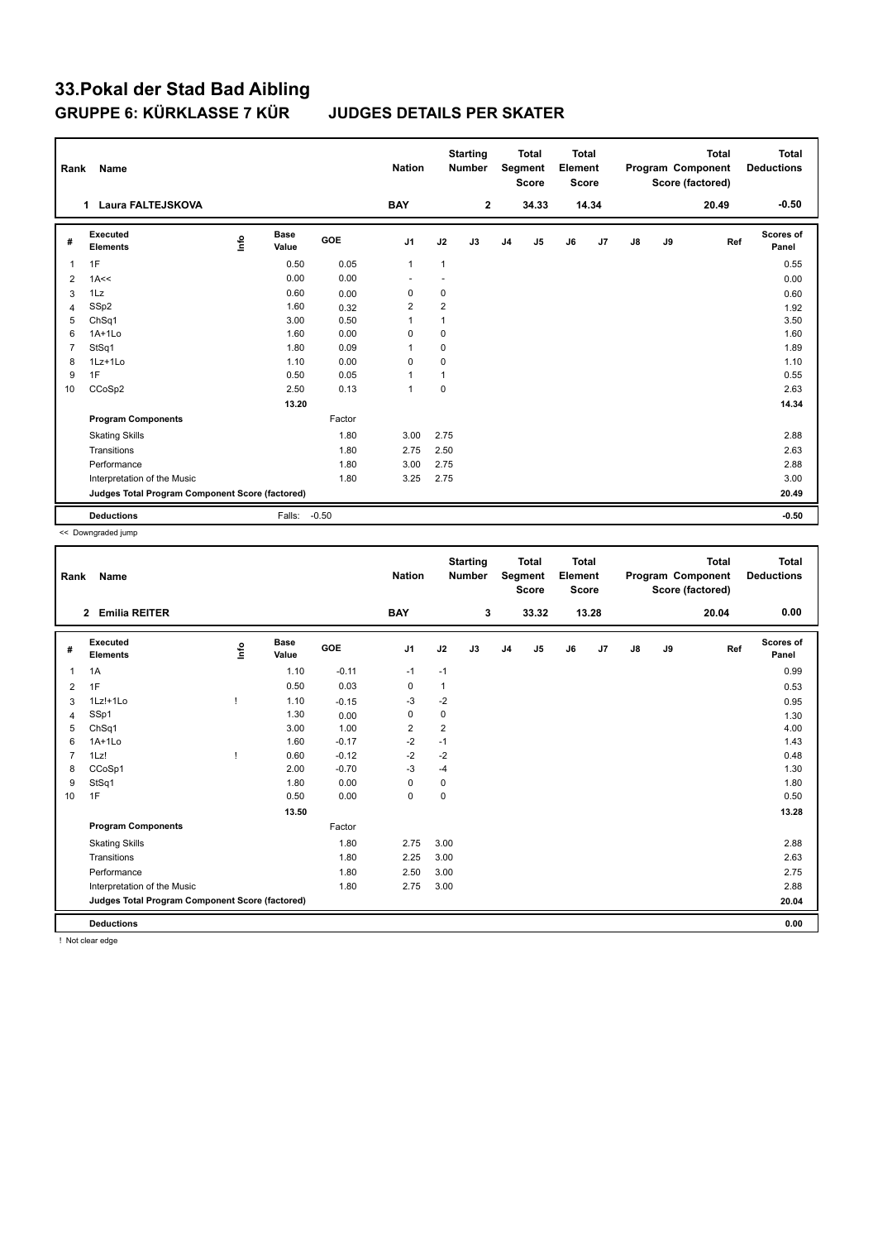| Rank           | Name                                            |      |                      |            | <b>Nation</b>            |                | <b>Starting</b><br><b>Number</b> |                | <b>Total</b><br>Segment<br><b>Score</b> | <b>Total</b><br>Element<br><b>Score</b> |       |               |    | <b>Total</b><br>Program Component<br>Score (factored) | <b>Total</b><br><b>Deductions</b> |
|----------------|-------------------------------------------------|------|----------------------|------------|--------------------------|----------------|----------------------------------|----------------|-----------------------------------------|-----------------------------------------|-------|---------------|----|-------------------------------------------------------|-----------------------------------|
|                | <b>Laura FALTEJSKOVA</b><br>1                   |      |                      |            | <b>BAY</b>               |                | $\mathbf{2}$                     |                | 34.33                                   |                                         | 14.34 |               |    | 20.49                                                 | $-0.50$                           |
| #              | Executed<br><b>Elements</b>                     | info | <b>Base</b><br>Value | <b>GOE</b> | J <sub>1</sub>           | J2             | J3                               | J <sub>4</sub> | J5                                      | J6                                      | J7    | $\mathsf{J}8$ | J9 | Ref                                                   | <b>Scores of</b><br>Panel         |
| 1              | 1F                                              |      | 0.50                 | 0.05       | $\mathbf{1}$             | 1              |                                  |                |                                         |                                         |       |               |    |                                                       | 0.55                              |
| 2              | 1A<<                                            |      | 0.00                 | 0.00       | $\overline{\phantom{a}}$ |                |                                  |                |                                         |                                         |       |               |    |                                                       | 0.00                              |
| 3              | 1Lz                                             |      | 0.60                 | 0.00       | 0                        | 0              |                                  |                |                                         |                                         |       |               |    |                                                       | 0.60                              |
| 4              | SSp2                                            |      | 1.60                 | 0.32       | $\overline{2}$           | $\overline{2}$ |                                  |                |                                         |                                         |       |               |    |                                                       | 1.92                              |
| 5              | ChSq1                                           |      | 3.00                 | 0.50       | $\overline{1}$           | 1              |                                  |                |                                         |                                         |       |               |    |                                                       | 3.50                              |
| 6              | $1A+1Lo$                                        |      | 1.60                 | 0.00       | 0                        | 0              |                                  |                |                                         |                                         |       |               |    |                                                       | 1.60                              |
| $\overline{7}$ | StSq1                                           |      | 1.80                 | 0.09       | $\overline{1}$           | $\mathbf 0$    |                                  |                |                                         |                                         |       |               |    |                                                       | 1.89                              |
| 8              | 1Lz+1Lo                                         |      | 1.10                 | 0.00       | 0                        | 0              |                                  |                |                                         |                                         |       |               |    |                                                       | 1.10                              |
| 9              | 1F                                              |      | 0.50                 | 0.05       | $\mathbf{1}$             | 1              |                                  |                |                                         |                                         |       |               |    |                                                       | 0.55                              |
| 10             | CCoSp2                                          |      | 2.50                 | 0.13       | $\mathbf{1}$             | $\Omega$       |                                  |                |                                         |                                         |       |               |    |                                                       | 2.63                              |
|                |                                                 |      | 13.20                |            |                          |                |                                  |                |                                         |                                         |       |               |    |                                                       | 14.34                             |
|                | <b>Program Components</b>                       |      |                      | Factor     |                          |                |                                  |                |                                         |                                         |       |               |    |                                                       |                                   |
|                | <b>Skating Skills</b>                           |      |                      | 1.80       | 3.00                     | 2.75           |                                  |                |                                         |                                         |       |               |    |                                                       | 2.88                              |
|                | Transitions                                     |      |                      | 1.80       | 2.75                     | 2.50           |                                  |                |                                         |                                         |       |               |    |                                                       | 2.63                              |
|                | Performance                                     |      |                      | 1.80       | 3.00                     | 2.75           |                                  |                |                                         |                                         |       |               |    |                                                       | 2.88                              |
|                | Interpretation of the Music                     |      |                      | 1.80       | 3.25                     | 2.75           |                                  |                |                                         |                                         |       |               |    |                                                       | 3.00                              |
|                | Judges Total Program Component Score (factored) |      |                      |            |                          |                |                                  |                |                                         |                                         |       |               |    |                                                       | 20.49                             |
|                | <b>Deductions</b>                               |      | Falls:               | $-0.50$    |                          |                |                                  |                |                                         |                                         |       |               |    |                                                       | $-0.50$                           |

<< Downgraded jump

| Rank           | Name                                            |              |                      |            | <b>Nation</b>  |                | <b>Starting</b><br><b>Number</b> |                | <b>Total</b><br>Segment<br><b>Score</b> | <b>Total</b><br>Element<br><b>Score</b> |       |               |    | <b>Total</b><br>Program Component<br>Score (factored) | <b>Total</b><br><b>Deductions</b> |
|----------------|-------------------------------------------------|--------------|----------------------|------------|----------------|----------------|----------------------------------|----------------|-----------------------------------------|-----------------------------------------|-------|---------------|----|-------------------------------------------------------|-----------------------------------|
|                | 2 Emilia REITER                                 |              |                      |            | <b>BAY</b>     |                | 3                                |                | 33.32                                   |                                         | 13.28 |               |    | 20.04                                                 | 0.00                              |
| #              | <b>Executed</b><br><b>Elements</b>              | lnfo         | <b>Base</b><br>Value | <b>GOE</b> | J <sub>1</sub> | J2             | J3                               | J <sub>4</sub> | J5                                      | J6                                      | J7    | $\mathsf{J}8$ | J9 | Ref                                                   | Scores of<br>Panel                |
| 1              | 1A                                              |              | 1.10                 | $-0.11$    | $-1$           | $-1$           |                                  |                |                                         |                                         |       |               |    |                                                       | 0.99                              |
| 2              | 1F                                              |              | 0.50                 | 0.03       | $\mathbf 0$    | $\mathbf{1}$   |                                  |                |                                         |                                         |       |               |    |                                                       | 0.53                              |
| 3              | $1Lz! + 1Lo$                                    | $\mathbf{I}$ | 1.10                 | $-0.15$    | $-3$           | $-2$           |                                  |                |                                         |                                         |       |               |    |                                                       | 0.95                              |
| 4              | SSp1                                            |              | 1.30                 | 0.00       | $\mathbf 0$    | 0              |                                  |                |                                         |                                         |       |               |    |                                                       | 1.30                              |
| 5              | ChSq1                                           |              | 3.00                 | 1.00       | $\overline{2}$ | $\overline{2}$ |                                  |                |                                         |                                         |       |               |    |                                                       | 4.00                              |
| 6              | $1A+1Lo$                                        |              | 1.60                 | $-0.17$    | $-2$           | $-1$           |                                  |                |                                         |                                         |       |               |    |                                                       | 1.43                              |
| $\overline{7}$ | 1Lz!                                            | $\mathbf{I}$ | 0.60                 | $-0.12$    | $-2$           | $-2$           |                                  |                |                                         |                                         |       |               |    |                                                       | 0.48                              |
| 8              | CCoSp1                                          |              | 2.00                 | $-0.70$    | $-3$           | $-4$           |                                  |                |                                         |                                         |       |               |    |                                                       | 1.30                              |
| 9              | StSq1                                           |              | 1.80                 | 0.00       | 0              | 0              |                                  |                |                                         |                                         |       |               |    |                                                       | 1.80                              |
| 10             | 1F                                              |              | 0.50                 | 0.00       | $\mathbf 0$    | $\mathbf 0$    |                                  |                |                                         |                                         |       |               |    |                                                       | 0.50                              |
|                |                                                 |              | 13.50                |            |                |                |                                  |                |                                         |                                         |       |               |    |                                                       | 13.28                             |
|                | <b>Program Components</b>                       |              |                      | Factor     |                |                |                                  |                |                                         |                                         |       |               |    |                                                       |                                   |
|                | <b>Skating Skills</b>                           |              |                      | 1.80       | 2.75           | 3.00           |                                  |                |                                         |                                         |       |               |    |                                                       | 2.88                              |
|                | Transitions                                     |              |                      | 1.80       | 2.25           | 3.00           |                                  |                |                                         |                                         |       |               |    |                                                       | 2.63                              |
|                | Performance                                     |              |                      | 1.80       | 2.50           | 3.00           |                                  |                |                                         |                                         |       |               |    |                                                       | 2.75                              |
|                | Interpretation of the Music                     |              |                      | 1.80       | 2.75           | 3.00           |                                  |                |                                         |                                         |       |               |    |                                                       | 2.88                              |
|                | Judges Total Program Component Score (factored) |              |                      |            |                |                |                                  |                |                                         |                                         |       |               |    |                                                       | 20.04                             |
|                | <b>Deductions</b>                               |              |                      |            |                |                |                                  |                |                                         |                                         |       |               |    |                                                       | 0.00                              |

! Not clear edge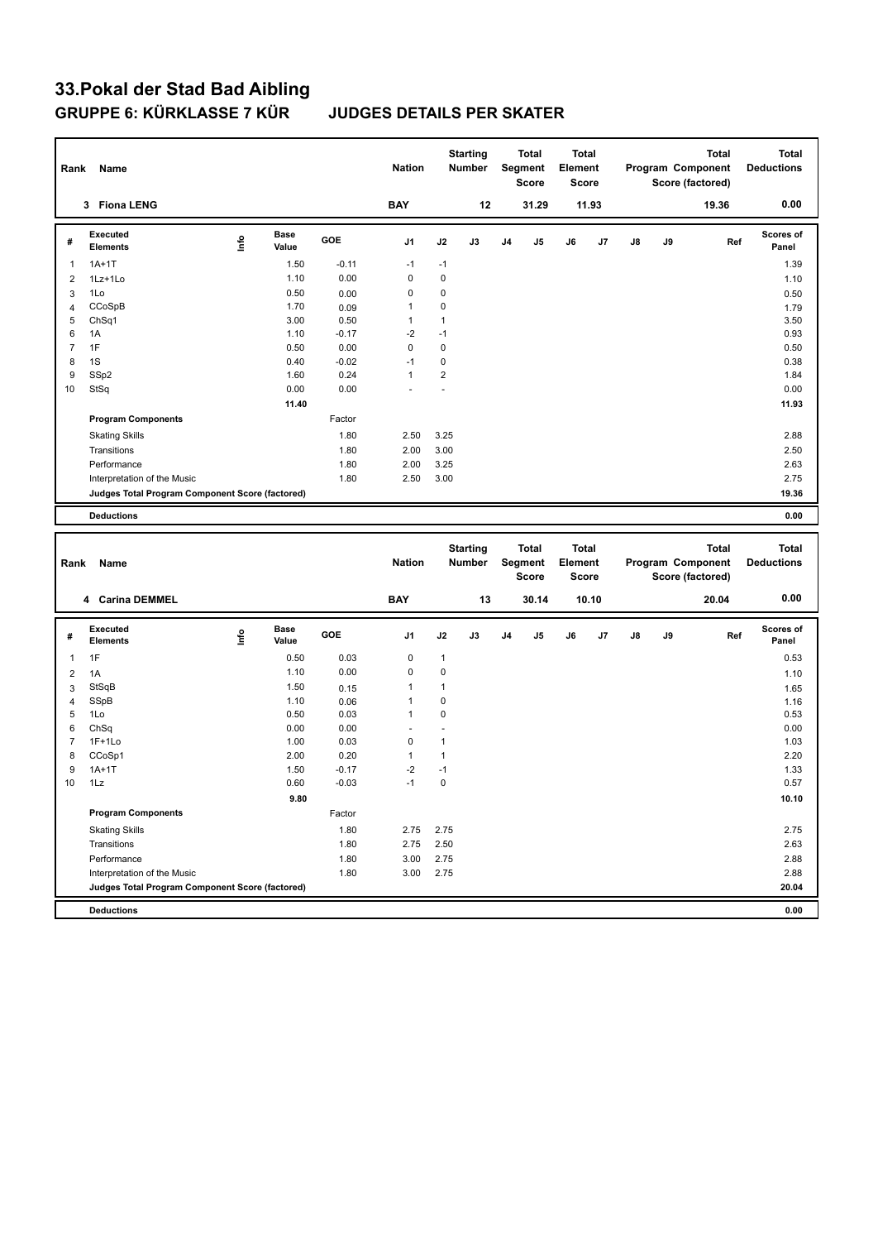| Rank           | Name                                            |      |                      |              | <b>Nation</b> |                  | <b>Starting</b><br>Number |                | Total<br>Segment<br><b>Score</b> | Total<br>Element<br><b>Score</b> |       |    |    | <b>Total</b><br>Program Component<br>Score (factored) |     | Total<br><b>Deductions</b> |
|----------------|-------------------------------------------------|------|----------------------|--------------|---------------|------------------|---------------------------|----------------|----------------------------------|----------------------------------|-------|----|----|-------------------------------------------------------|-----|----------------------------|
|                | 3 Fiona LENG                                    |      |                      |              | <b>BAY</b>    |                  | 12                        |                | 31.29                            |                                  | 11.93 |    |    | 19.36                                                 |     | 0.00                       |
| #              | Executed<br><b>Elements</b>                     | ١nfo | <b>Base</b><br>Value | GOE          | J1            | J2               | J3                        | J4             | J5                               | J6                               | J7    | J8 | J9 |                                                       | Ref | Scores of<br>Panel         |
| 1              | $1A+1T$                                         |      | 1.50                 | $-0.11$      | $-1$          | $-1$             |                           |                |                                  |                                  |       |    |    |                                                       |     | 1.39                       |
| $\overline{2}$ | 1Lz+1Lo                                         |      | 1.10                 | 0.00         | $\mathbf 0$   | 0                |                           |                |                                  |                                  |       |    |    |                                                       |     | 1.10                       |
| 3              | 1Lo                                             |      | 0.50                 | 0.00         | $\mathbf 0$   | 0                |                           |                |                                  |                                  |       |    |    |                                                       |     | 0.50                       |
| $\overline{4}$ | CCoSpB                                          |      | 1.70                 | 0.09         | 1             | 0                |                           |                |                                  |                                  |       |    |    |                                                       |     | 1.79                       |
| 5              | ChSq1                                           |      | 3.00                 | 0.50         | $\mathbf{1}$  | 1                |                           |                |                                  |                                  |       |    |    |                                                       |     | 3.50                       |
| 6              | 1A                                              |      | 1.10                 | $-0.17$      | $-2$          | $-1$             |                           |                |                                  |                                  |       |    |    |                                                       |     | 0.93                       |
| $\overline{7}$ | 1F                                              |      | 0.50                 | 0.00         | $\mathbf 0$   | $\mathbf 0$      |                           |                |                                  |                                  |       |    |    |                                                       |     | 0.50                       |
| 8              | 1S                                              |      | 0.40                 | $-0.02$      | $-1$          | 0                |                           |                |                                  |                                  |       |    |    |                                                       |     | 0.38                       |
| 9              | SSp2                                            |      | 1.60                 | 0.24         | $\mathbf{1}$  | $\overline{2}$   |                           |                |                                  |                                  |       |    |    |                                                       |     | 1.84                       |
| 10             | StSq                                            |      | 0.00                 | 0.00         |               | ä,               |                           |                |                                  |                                  |       |    |    |                                                       |     | 0.00                       |
|                |                                                 |      | 11.40                |              |               |                  |                           |                |                                  |                                  |       |    |    |                                                       |     | 11.93                      |
|                | <b>Program Components</b>                       |      |                      | Factor       |               |                  |                           |                |                                  |                                  |       |    |    |                                                       |     |                            |
|                | <b>Skating Skills</b>                           |      |                      | 1.80         | 2.50          | 3.25             |                           |                |                                  |                                  |       |    |    |                                                       |     | 2.88                       |
|                | Transitions                                     |      |                      | 1.80         | 2.00          | 3.00             |                           |                |                                  |                                  |       |    |    |                                                       |     | 2.50                       |
|                | Performance                                     |      |                      | 1.80         | 2.00          | 3.25             |                           |                |                                  |                                  |       |    |    |                                                       |     | 2.63                       |
|                | Interpretation of the Music                     |      |                      | 1.80         | 2.50          | 3.00             |                           |                |                                  |                                  |       |    |    |                                                       |     | 2.75                       |
|                | Judges Total Program Component Score (factored) |      |                      |              |               |                  |                           |                |                                  |                                  |       |    |    |                                                       |     | 19.36                      |
|                |                                                 |      |                      |              |               |                  |                           |                |                                  |                                  |       |    |    |                                                       |     |                            |
|                | <b>Deductions</b>                               |      |                      |              |               |                  |                           |                |                                  |                                  |       |    |    |                                                       |     | 0.00                       |
|                |                                                 |      |                      |              |               |                  |                           |                |                                  |                                  |       |    |    |                                                       |     |                            |
|                |                                                 |      |                      |              |               |                  | <b>Starting</b>           |                | Total                            | <b>Total</b>                     |       |    |    | <b>Total</b>                                          |     | <b>Total</b>               |
| Rank           | Name                                            |      |                      |              | <b>Nation</b> |                  | <b>Number</b>             |                | Segment<br><b>Score</b>          | Element<br><b>Score</b>          |       |    |    | Program Component<br>Score (factored)                 |     | <b>Deductions</b>          |
|                | 4 Carina DEMMEL                                 |      |                      |              | <b>BAY</b>    |                  | 13                        |                | 30.14                            |                                  | 10.10 |    |    | 20.04                                                 |     | 0.00                       |
| #              | Executed<br><b>Elements</b>                     | lnfo | <b>Base</b><br>Value | GOE          | J1            | J2               | J3                        | J <sub>4</sub> | J5                               | J6                               | J7    | J8 | J9 |                                                       | Ref | <b>Scores of</b><br>Panel  |
|                |                                                 |      |                      |              |               |                  |                           |                |                                  |                                  |       |    |    |                                                       |     |                            |
| $\mathbf{1}$   | 1F                                              |      | 0.50                 | 0.03         | $\mathbf 0$   | 1                |                           |                |                                  |                                  |       |    |    |                                                       |     | 0.53                       |
| $\overline{2}$ | 1A                                              |      | 1.10                 | 0.00         | 0             | $\mathbf 0$      |                           |                |                                  |                                  |       |    |    |                                                       |     | 1.10                       |
| 3              | StSqB                                           |      | 1.50                 | 0.15         | 1             | $\mathbf{1}$     |                           |                |                                  |                                  |       |    |    |                                                       |     | 1.65                       |
| $\overline{4}$ | SSpB                                            |      | 1.10                 | 0.06         | 1<br>1        | 0<br>$\mathbf 0$ |                           |                |                                  |                                  |       |    |    |                                                       |     | 1.16                       |
| 5<br>6         | 1Lo                                             |      | 0.50<br>0.00         | 0.03<br>0.00 |               | $\overline{a}$   |                           |                |                                  |                                  |       |    |    |                                                       |     | 0.53                       |
| 7              | ChSq                                            |      |                      |              | $\mathbf 0$   | $\mathbf{1}$     |                           |                |                                  |                                  |       |    |    |                                                       |     | 0.00                       |
| 8              | $1F+1Lo$<br>CCoSp1                              |      | 1.00<br>2.00         | 0.03<br>0.20 | $\mathbf{1}$  | 1                |                           |                |                                  |                                  |       |    |    |                                                       |     | 1.03<br>2.20               |
| 9              | $1A+1T$                                         |      | 1.50                 | $-0.17$      | $-2$          | $-1$             |                           |                |                                  |                                  |       |    |    |                                                       |     | 1.33                       |
| 10             | 1Lz                                             |      | 0.60                 | $-0.03$      | $-1$          | $\mathbf 0$      |                           |                |                                  |                                  |       |    |    |                                                       |     | 0.57                       |
|                |                                                 |      | 9.80                 |              |               |                  |                           |                |                                  |                                  |       |    |    |                                                       |     |                            |
|                | <b>Program Components</b>                       |      |                      | Factor       |               |                  |                           |                |                                  |                                  |       |    |    |                                                       |     | 10.10                      |
|                |                                                 |      |                      |              |               |                  |                           |                |                                  |                                  |       |    |    |                                                       |     |                            |
|                | <b>Skating Skills</b>                           |      |                      | 1.80         | 2.75          | 2.75             |                           |                |                                  |                                  |       |    |    |                                                       |     | 2.75                       |
|                | Transitions                                     |      |                      | 1.80         | 2.75          | 2.50             |                           |                |                                  |                                  |       |    |    |                                                       |     | 2.63                       |
|                | Performance                                     |      |                      | 1.80         | 3.00          | 2.75             |                           |                |                                  |                                  |       |    |    |                                                       |     | 2.88                       |
|                | Interpretation of the Music                     |      |                      | 1.80         | 3.00          | 2.75             |                           |                |                                  |                                  |       |    |    |                                                       |     | 2.88                       |
|                | Judges Total Program Component Score (factored) |      |                      |              |               |                  |                           |                |                                  |                                  |       |    |    |                                                       |     | 20.04<br>0.00              |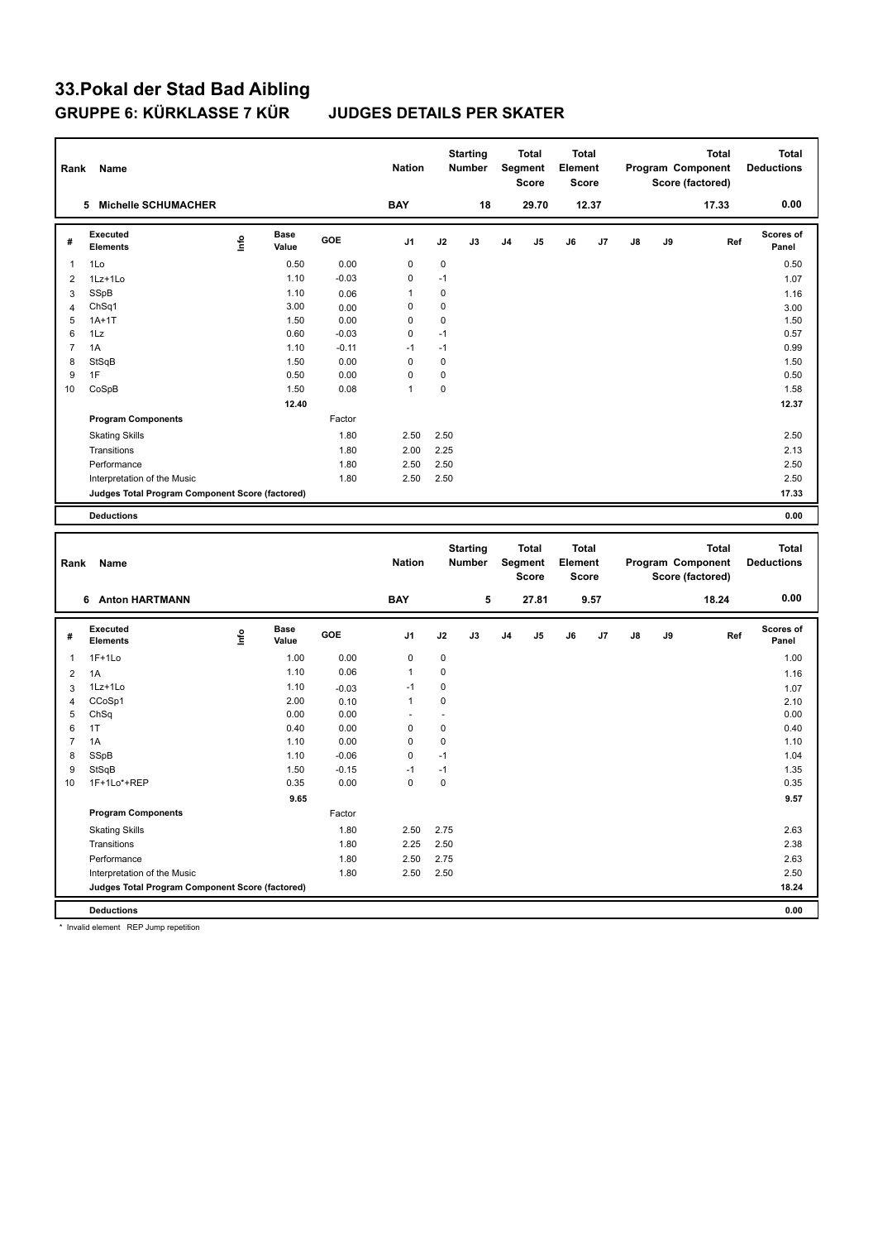# **33.Pokal der Stad Bad Aibling**

### **JUDGES DETAILS PER SKATER**

| Rank           | Name                                            |       |                      |         | <b>Nation</b>        |                | <b>Starting</b><br><b>Number</b> |                | <b>Total</b><br>Segment<br>Score | <b>Total</b><br>Element<br><b>Score</b> |       |    |    | Total<br>Program Component<br>Score (factored) | <b>Total</b><br><b>Deductions</b> |
|----------------|-------------------------------------------------|-------|----------------------|---------|----------------------|----------------|----------------------------------|----------------|----------------------------------|-----------------------------------------|-------|----|----|------------------------------------------------|-----------------------------------|
|                | 5 Michelle SCHUMACHER                           |       |                      |         | <b>BAY</b>           |                | 18                               |                | 29.70                            |                                         | 12.37 |    |    | 17.33                                          | 0.00                              |
| #              | Executed<br><b>Elements</b>                     | lnfo  | <b>Base</b><br>Value | GOE     | J1                   | J2             | J3                               | J <sub>4</sub> | J5                               | J6                                      | J7    | J8 | J9 | Ref                                            | Scores of<br>Panel                |
| $\mathbf{1}$   | 1Lo                                             |       | 0.50                 | 0.00    | $\mathbf 0$          | 0              |                                  |                |                                  |                                         |       |    |    |                                                | 0.50                              |
| $\overline{2}$ | 1Lz+1Lo                                         |       | 1.10                 | $-0.03$ | 0                    | $-1$           |                                  |                |                                  |                                         |       |    |    |                                                | 1.07                              |
| 3              | SSpB                                            |       | 1.10                 | 0.06    | 1                    | $\mathbf 0$    |                                  |                |                                  |                                         |       |    |    |                                                | 1.16                              |
| $\overline{4}$ | Ch <sub>Sq1</sub>                               |       | 3.00                 | 0.00    | 0                    | $\mathbf 0$    |                                  |                |                                  |                                         |       |    |    |                                                | 3.00                              |
| 5              | $1A+1T$                                         |       | 1.50                 | 0.00    | 0                    | 0              |                                  |                |                                  |                                         |       |    |    |                                                | 1.50                              |
| 6              | 1Lz                                             |       | 0.60                 | $-0.03$ | $\mathbf 0$          | $-1$           |                                  |                |                                  |                                         |       |    |    |                                                | 0.57                              |
| $\overline{7}$ | 1A                                              |       | 1.10                 | $-0.11$ | $-1$                 | $-1$           |                                  |                |                                  |                                         |       |    |    |                                                | 0.99                              |
| 8              | StSqB                                           |       | 1.50                 | 0.00    | $\mathbf 0$          | $\mathbf 0$    |                                  |                |                                  |                                         |       |    |    |                                                | 1.50                              |
| 9              | 1F                                              |       | 0.50                 | 0.00    | 0                    | $\mathbf 0$    |                                  |                |                                  |                                         |       |    |    |                                                | 0.50                              |
| 10             | CoSpB                                           |       | 1.50                 | 0.08    | 1                    | $\mathbf 0$    |                                  |                |                                  |                                         |       |    |    |                                                | 1.58                              |
|                |                                                 |       | 12.40                |         |                      |                |                                  |                |                                  |                                         |       |    |    |                                                | 12.37                             |
|                | <b>Program Components</b>                       |       |                      | Factor  |                      |                |                                  |                |                                  |                                         |       |    |    |                                                |                                   |
|                | <b>Skating Skills</b>                           |       |                      | 1.80    | 2.50                 | 2.50           |                                  |                |                                  |                                         |       |    |    |                                                | 2.50                              |
|                | Transitions                                     |       |                      | 1.80    | 2.00                 | 2.25           |                                  |                |                                  |                                         |       |    |    |                                                | 2.13                              |
|                | Performance                                     |       |                      | 1.80    | 2.50                 | 2.50           |                                  |                |                                  |                                         |       |    |    |                                                | 2.50                              |
|                | Interpretation of the Music                     |       |                      | 1.80    | 2.50                 | 2.50           |                                  |                |                                  |                                         |       |    |    |                                                | 2.50                              |
|                | Judges Total Program Component Score (factored) |       |                      |         |                      |                |                                  |                |                                  |                                         |       |    |    |                                                | 17.33                             |
|                | <b>Deductions</b>                               |       |                      |         |                      |                |                                  |                |                                  |                                         |       |    |    |                                                | 0.00                              |
|                |                                                 |       |                      |         |                      |                |                                  |                |                                  |                                         |       |    |    |                                                |                                   |
|                |                                                 |       |                      |         |                      |                |                                  |                |                                  |                                         |       |    |    |                                                |                                   |
| Rank           | Name                                            |       |                      |         | <b>Nation</b>        |                | <b>Starting</b><br><b>Number</b> |                | <b>Total</b><br>Segment          | <b>Total</b><br>Element                 |       |    |    | <b>Total</b><br>Program Component              | <b>Total</b><br><b>Deductions</b> |
|                |                                                 |       |                      |         |                      |                |                                  |                | Score                            | <b>Score</b>                            |       |    |    | Score (factored)                               |                                   |
|                | 6 Anton HARTMANN                                |       |                      |         | <b>BAY</b>           |                | 5                                |                | 27.81                            |                                         | 9.57  |    |    | 18.24                                          | 0.00                              |
| #              | <b>Executed</b><br><b>Elements</b>              | Linfo | Base<br>Value        | GOE     | J1                   | J2             | J3                               | J <sub>4</sub> | J5                               | J6                                      | J7    | J8 | J9 | Ref                                            | <b>Scores of</b><br>Panel         |
| $\mathbf{1}$   | $1F+1Lo$                                        |       | 1.00                 | 0.00    | $\mathbf 0$          | 0              |                                  |                |                                  |                                         |       |    |    |                                                | 1.00                              |
| $\overline{2}$ | 1A                                              |       | 1.10                 | 0.06    | $\mathbf{1}$         | 0              |                                  |                |                                  |                                         |       |    |    |                                                | 1.16                              |
| 3              | 1Lz+1Lo                                         |       | 1.10                 | $-0.03$ | $-1$                 | $\mathbf 0$    |                                  |                |                                  |                                         |       |    |    |                                                | 1.07                              |
| $\overline{4}$ | CCoSp1                                          |       | 2.00                 | 0.10    | 1                    | $\mathbf 0$    |                                  |                |                                  |                                         |       |    |    |                                                | 2.10                              |
| 5              | ChSq                                            |       | 0.00                 | 0.00    | $\ddot{\phantom{1}}$ | $\overline{a}$ |                                  |                |                                  |                                         |       |    |    |                                                | 0.00                              |
| 6              | 1T                                              |       | 0.40                 | 0.00    | $\mathbf 0$          | 0              |                                  |                |                                  |                                         |       |    |    |                                                | 0.40                              |
| $\overline{7}$ | 1A                                              |       | 1.10                 | 0.00    | $\mathbf 0$          | 0              |                                  |                |                                  |                                         |       |    |    |                                                | 1.10                              |
| 8              | SSpB                                            |       | 1.10                 | $-0.06$ | $\mathbf 0$          | $-1$           |                                  |                |                                  |                                         |       |    |    |                                                | 1.04                              |
| 9              | StSqB                                           |       | 1.50                 | $-0.15$ | $-1$                 | $-1$           |                                  |                |                                  |                                         |       |    |    |                                                | 1.35                              |
| 10             | 1F+1Lo*+REP                                     |       | 0.35                 | 0.00    | $\mathbf 0$          | $\mathbf 0$    |                                  |                |                                  |                                         |       |    |    |                                                | 0.35                              |
|                |                                                 |       | 9.65                 |         |                      |                |                                  |                |                                  |                                         |       |    |    |                                                | 9.57                              |
|                | <b>Program Components</b>                       |       |                      | Factor  |                      |                |                                  |                |                                  |                                         |       |    |    |                                                |                                   |
|                | <b>Skating Skills</b>                           |       |                      | 1.80    | 2.50                 | 2.75           |                                  |                |                                  |                                         |       |    |    |                                                | 2.63                              |
|                | Transitions                                     |       |                      | 1.80    | 2.25                 | 2.50           |                                  |                |                                  |                                         |       |    |    |                                                | 2.38                              |
|                | Performance                                     |       |                      | 1.80    | 2.50                 | 2.75           |                                  |                |                                  |                                         |       |    |    |                                                | 2.63                              |
|                | Interpretation of the Music                     |       |                      | 1.80    | 2.50                 | 2.50           |                                  |                |                                  |                                         |       |    |    |                                                | 2.50                              |
|                | Judges Total Program Component Score (factored) |       |                      |         |                      |                |                                  |                |                                  |                                         |       |    |    |                                                | 18.24                             |

\* Invalid element REP Jump repetition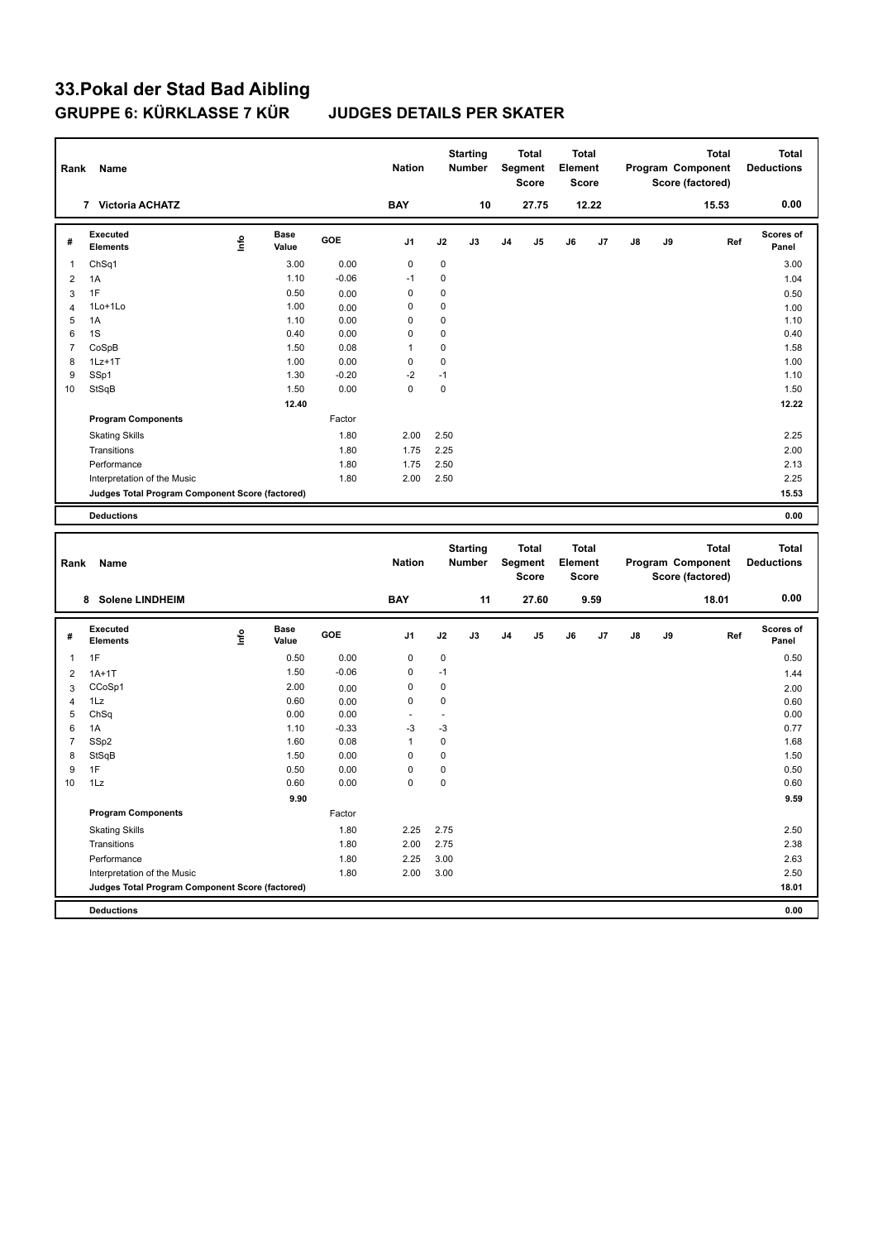| Rank           | Name                                            |      |                      |         | <b>Nation</b> |      | <b>Starting</b><br>Number        |    | <b>Total</b><br>Segment<br><b>Score</b> | <b>Total</b><br>Element<br><b>Score</b> |       |    |    | <b>Total</b><br>Program Component<br>Score (factored) |     | Total<br><b>Deductions</b>        |
|----------------|-------------------------------------------------|------|----------------------|---------|---------------|------|----------------------------------|----|-----------------------------------------|-----------------------------------------|-------|----|----|-------------------------------------------------------|-----|-----------------------------------|
|                | 7 Victoria ACHATZ                               |      |                      |         | <b>BAY</b>    |      | 10                               |    | 27.75                                   |                                         | 12.22 |    |    | 15.53                                                 |     | 0.00                              |
| #              | <b>Executed</b><br><b>Elements</b>              | Life | <b>Base</b><br>Value | GOE     | J1            | J2   | J3                               | J4 | J5                                      | J6                                      | J7    | J8 | J9 |                                                       | Ref | Scores of<br>Panel                |
| 1              | Ch <sub>Sq1</sub>                               |      | 3.00                 | 0.00    | 0             | 0    |                                  |    |                                         |                                         |       |    |    |                                                       |     | 3.00                              |
| 2              | 1A                                              |      | 1.10                 | $-0.06$ | $-1$          | 0    |                                  |    |                                         |                                         |       |    |    |                                                       |     | 1.04                              |
| 3              | 1F                                              |      | 0.50                 | 0.00    | 0             | 0    |                                  |    |                                         |                                         |       |    |    |                                                       |     | 0.50                              |
| $\overline{4}$ | 1Lo+1Lo                                         |      | 1.00                 | 0.00    | 0             | 0    |                                  |    |                                         |                                         |       |    |    |                                                       |     | 1.00                              |
| 5              | 1A                                              |      | 1.10                 | 0.00    | 0             | 0    |                                  |    |                                         |                                         |       |    |    |                                                       |     | 1.10                              |
| 6              | 1S                                              |      | 0.40                 | 0.00    | $\mathbf 0$   | 0    |                                  |    |                                         |                                         |       |    |    |                                                       |     | 0.40                              |
| $\overline{7}$ | CoSpB                                           |      | 1.50                 | 0.08    | $\mathbf{1}$  | 0    |                                  |    |                                         |                                         |       |    |    |                                                       |     | 1.58                              |
| 8              | $1Lz+1T$                                        |      | 1.00                 | 0.00    | 0             | 0    |                                  |    |                                         |                                         |       |    |    |                                                       |     | 1.00                              |
| 9              | SSp1                                            |      | 1.30                 | $-0.20$ | $-2$          | $-1$ |                                  |    |                                         |                                         |       |    |    |                                                       |     | 1.10                              |
| 10             | StSqB                                           |      | 1.50                 | 0.00    | $\mathbf 0$   | 0    |                                  |    |                                         |                                         |       |    |    |                                                       |     | 1.50                              |
|                |                                                 |      | 12.40                |         |               |      |                                  |    |                                         |                                         |       |    |    |                                                       |     | 12.22                             |
|                | <b>Program Components</b>                       |      |                      | Factor  |               |      |                                  |    |                                         |                                         |       |    |    |                                                       |     |                                   |
|                | <b>Skating Skills</b>                           |      |                      | 1.80    | 2.00          | 2.50 |                                  |    |                                         |                                         |       |    |    |                                                       |     | 2.25                              |
|                | Transitions                                     |      |                      | 1.80    | 1.75          | 2.25 |                                  |    |                                         |                                         |       |    |    |                                                       |     | 2.00                              |
|                | Performance                                     |      |                      | 1.80    | 1.75          | 2.50 |                                  |    |                                         |                                         |       |    |    |                                                       |     | 2.13                              |
|                | Interpretation of the Music                     |      |                      | 1.80    | 2.00          | 2.50 |                                  |    |                                         |                                         |       |    |    |                                                       |     | 2.25                              |
|                | Judges Total Program Component Score (factored) |      |                      |         |               |      |                                  |    |                                         |                                         |       |    |    |                                                       |     | 15.53                             |
|                | <b>Deductions</b>                               |      |                      |         |               |      |                                  |    |                                         |                                         |       |    |    |                                                       |     | 0.00                              |
|                |                                                 |      |                      |         |               |      |                                  |    |                                         |                                         |       |    |    |                                                       |     |                                   |
|                |                                                 |      |                      |         |               |      |                                  |    |                                         |                                         |       |    |    |                                                       |     |                                   |
| Rank           | Name                                            |      |                      |         | <b>Nation</b> |      | <b>Starting</b><br><b>Number</b> |    | <b>Total</b><br>Segment<br><b>Score</b> | <b>Total</b><br>Element<br><b>Score</b> |       |    |    | <b>Total</b><br>Program Component<br>Score (factored) |     | <b>Total</b><br><b>Deductions</b> |
|                | 8 Solene LINDHEIM                               |      |                      |         | <b>BAY</b>    |      | 11                               |    | 27.60                                   |                                         | 9.59  |    |    | 18.01                                                 |     | 0.00                              |
| #              | <b>Executed</b><br><b>Elements</b>              | ۴ů   | Base<br>Value        | GOE     | J1            | J2   | J3                               | J4 | J5                                      | J6                                      | J7    | J8 | J9 |                                                       | Ref | Scores of<br>Panel                |
| $\mathbf{1}$   | 1F                                              |      | 0.50                 | 0.00    | 0             | 0    |                                  |    |                                         |                                         |       |    |    |                                                       |     | 0.50                              |
| 2              | $1A+1T$                                         |      | 1.50                 | $-0.06$ | 0             | $-1$ |                                  |    |                                         |                                         |       |    |    |                                                       |     | 1.44                              |
| 3              | CCoSp1                                          |      | 2.00                 | 0.00    | 0             | 0    |                                  |    |                                         |                                         |       |    |    |                                                       |     | 2.00                              |
| $\overline{4}$ | 1Lz                                             |      | 0.60                 | 0.00    | $\mathbf 0$   | 0    |                                  |    |                                         |                                         |       |    |    |                                                       |     | 0.60                              |
| 5              | ChSq                                            |      | 0.00                 | 0.00    | ä,            | ÷,   |                                  |    |                                         |                                         |       |    |    |                                                       |     | 0.00                              |
| 6              | 1A                                              |      | 1.10                 | $-0.33$ | $-3$          | $-3$ |                                  |    |                                         |                                         |       |    |    |                                                       |     | 0.77                              |
| $\overline{7}$ | SSp2                                            |      | 1.60                 | 0.08    | $\mathbf{1}$  | 0    |                                  |    |                                         |                                         |       |    |    |                                                       |     | 1.68                              |
| 8              | StSqB                                           |      | 1.50                 | 0.00    | 0             | 0    |                                  |    |                                         |                                         |       |    |    |                                                       |     | 1.50                              |
| 9              | 1F                                              |      | 0.50                 | 0.00    | 0             | 0    |                                  |    |                                         |                                         |       |    |    |                                                       |     | 0.50                              |
| 10             | 1Lz                                             |      | 0.60                 | 0.00    | $\mathbf 0$   | 0    |                                  |    |                                         |                                         |       |    |    |                                                       |     | 0.60                              |
|                |                                                 |      | 9.90                 |         |               |      |                                  |    |                                         |                                         |       |    |    |                                                       |     | 9.59                              |
|                | <b>Program Components</b>                       |      |                      | Factor  |               |      |                                  |    |                                         |                                         |       |    |    |                                                       |     |                                   |
|                | <b>Skating Skills</b>                           |      |                      | 1.80    | 2.25          | 2.75 |                                  |    |                                         |                                         |       |    |    |                                                       |     | 2.50                              |
|                | Transitions                                     |      |                      | 1.80    | 2.00          | 2.75 |                                  |    |                                         |                                         |       |    |    |                                                       |     | 2.38                              |
|                | Performance                                     |      |                      | 1.80    | 2.25          | 3.00 |                                  |    |                                         |                                         |       |    |    |                                                       |     | 2.63                              |
|                | Interpretation of the Music                     |      |                      | 1.80    | 2.00          | 3.00 |                                  |    |                                         |                                         |       |    |    |                                                       |     | 2.50                              |
|                | Judges Total Program Component Score (factored) |      |                      |         |               |      |                                  |    |                                         |                                         |       |    |    |                                                       |     | 18.01                             |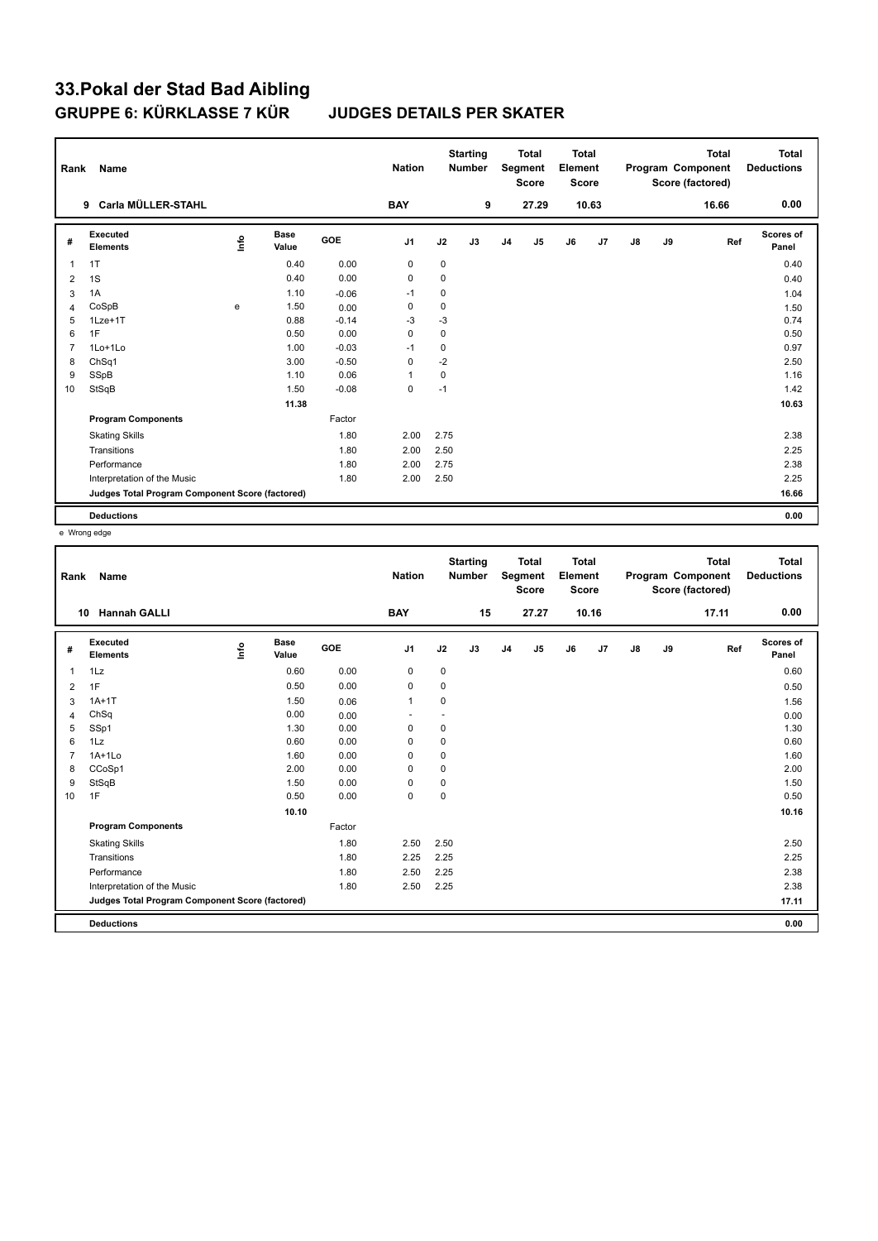| Rank           | Name                                            |      |                      |            | <b>Nation</b>  |      | <b>Starting</b><br><b>Number</b> |                | <b>Total</b><br>Segment<br><b>Score</b> | <b>Total</b><br>Element<br>Score |                |               |    | <b>Total</b><br>Program Component<br>Score (factored) | <b>Total</b><br><b>Deductions</b> |
|----------------|-------------------------------------------------|------|----------------------|------------|----------------|------|----------------------------------|----------------|-----------------------------------------|----------------------------------|----------------|---------------|----|-------------------------------------------------------|-----------------------------------|
|                | Carla MÜLLER-STAHL<br>9                         |      |                      |            | <b>BAY</b>     |      | 9                                |                | 27.29                                   |                                  | 10.63          |               |    | 16.66                                                 | 0.00                              |
| #              | Executed<br><b>Elements</b>                     | lnfo | <b>Base</b><br>Value | <b>GOE</b> | J <sub>1</sub> | J2   | J3                               | J <sub>4</sub> | J5                                      | J6                               | J <sub>7</sub> | $\mathsf{J}8$ | J9 | Ref                                                   | <b>Scores of</b><br>Panel         |
| $\overline{1}$ | 1T                                              |      | 0.40                 | 0.00       | 0              | 0    |                                  |                |                                         |                                  |                |               |    |                                                       | 0.40                              |
| $\overline{2}$ | 1S                                              |      | 0.40                 | 0.00       | 0              | 0    |                                  |                |                                         |                                  |                |               |    |                                                       | 0.40                              |
| 3              | 1A                                              |      | 1.10                 | $-0.06$    | $-1$           | 0    |                                  |                |                                         |                                  |                |               |    |                                                       | 1.04                              |
| $\overline{4}$ | CoSpB                                           | e    | 1.50                 | 0.00       | 0              | 0    |                                  |                |                                         |                                  |                |               |    |                                                       | 1.50                              |
| 5              | $1$ Lze $+1$ T                                  |      | 0.88                 | $-0.14$    | -3             | -3   |                                  |                |                                         |                                  |                |               |    |                                                       | 0.74                              |
| 6              | 1F                                              |      | 0.50                 | 0.00       | $\mathbf 0$    | 0    |                                  |                |                                         |                                  |                |               |    |                                                       | 0.50                              |
| $\overline{7}$ | $1$ Lo $+1$ Lo                                  |      | 1.00                 | $-0.03$    | $-1$           | 0    |                                  |                |                                         |                                  |                |               |    |                                                       | 0.97                              |
| 8              | Ch <sub>Sq1</sub>                               |      | 3.00                 | $-0.50$    | 0              | -2   |                                  |                |                                         |                                  |                |               |    |                                                       | 2.50                              |
| 9              | SSpB                                            |      | 1.10                 | 0.06       | $\mathbf{1}$   | 0    |                                  |                |                                         |                                  |                |               |    |                                                       | 1.16                              |
| 10             | StSqB                                           |      | 1.50                 | $-0.08$    | $\mathbf 0$    | $-1$ |                                  |                |                                         |                                  |                |               |    |                                                       | 1.42                              |
|                |                                                 |      | 11.38                |            |                |      |                                  |                |                                         |                                  |                |               |    |                                                       | 10.63                             |
|                | <b>Program Components</b>                       |      |                      | Factor     |                |      |                                  |                |                                         |                                  |                |               |    |                                                       |                                   |
|                | <b>Skating Skills</b>                           |      |                      | 1.80       | 2.00           | 2.75 |                                  |                |                                         |                                  |                |               |    |                                                       | 2.38                              |
|                | Transitions                                     |      |                      | 1.80       | 2.00           | 2.50 |                                  |                |                                         |                                  |                |               |    |                                                       | 2.25                              |
|                | Performance                                     |      |                      | 1.80       | 2.00           | 2.75 |                                  |                |                                         |                                  |                |               |    |                                                       | 2.38                              |
|                | Interpretation of the Music                     |      |                      | 1.80       | 2.00           | 2.50 |                                  |                |                                         |                                  |                |               |    |                                                       | 2.25                              |
|                | Judges Total Program Component Score (factored) |      |                      |            |                |      |                                  |                |                                         |                                  |                |               |    |                                                       | 16.66                             |
|                | <b>Deductions</b>                               |      |                      |            |                |      |                                  |                |                                         |                                  |                |               |    |                                                       | 0.00                              |

e Wrong edge

| Rank           | Name                                            |    |                      |        | <b>Nation</b>  |             | <b>Starting</b><br><b>Number</b> |                | <b>Total</b><br><b>Segment</b><br><b>Score</b> | <b>Total</b><br>Element<br><b>Score</b> |       |    |    | <b>Total</b><br>Program Component<br>Score (factored) | Total<br><b>Deductions</b> |
|----------------|-------------------------------------------------|----|----------------------|--------|----------------|-------------|----------------------------------|----------------|------------------------------------------------|-----------------------------------------|-------|----|----|-------------------------------------------------------|----------------------------|
|                | <b>Hannah GALLI</b><br>10                       |    |                      |        | <b>BAY</b>     |             | 15                               |                | 27.27                                          |                                         | 10.16 |    |    | 17.11                                                 | 0.00                       |
| #              | Executed<br><b>Elements</b>                     | ١m | <b>Base</b><br>Value | GOE    | J <sub>1</sub> | J2          | J3                               | J <sub>4</sub> | J5                                             | J6                                      | J7    | J8 | J9 | Ref                                                   | <b>Scores of</b><br>Panel  |
| $\mathbf{1}$   | 1Lz                                             |    | 0.60                 | 0.00   | 0              | 0           |                                  |                |                                                |                                         |       |    |    |                                                       | 0.60                       |
| 2              | 1F                                              |    | 0.50                 | 0.00   | $\mathbf 0$    | 0           |                                  |                |                                                |                                         |       |    |    |                                                       | 0.50                       |
| 3              | $1A+1T$                                         |    | 1.50                 | 0.06   | $\mathbf{1}$   | 0           |                                  |                |                                                |                                         |       |    |    |                                                       | 1.56                       |
| 4              | ChSq                                            |    | 0.00                 | 0.00   | ٠              | ٠           |                                  |                |                                                |                                         |       |    |    |                                                       | 0.00                       |
| 5              | SSp1                                            |    | 1.30                 | 0.00   | 0              | 0           |                                  |                |                                                |                                         |       |    |    |                                                       | 1.30                       |
| 6              | 1Lz                                             |    | 0.60                 | 0.00   | 0              | 0           |                                  |                |                                                |                                         |       |    |    |                                                       | 0.60                       |
| $\overline{7}$ | $1A+1Lo$                                        |    | 1.60                 | 0.00   | 0              | 0           |                                  |                |                                                |                                         |       |    |    |                                                       | 1.60                       |
| 8              | CCoSp1                                          |    | 2.00                 | 0.00   | $\mathbf 0$    | 0           |                                  |                |                                                |                                         |       |    |    |                                                       | 2.00                       |
| 9              | StSqB                                           |    | 1.50                 | 0.00   | 0              | 0           |                                  |                |                                                |                                         |       |    |    |                                                       | 1.50                       |
| 10             | 1F                                              |    | 0.50                 | 0.00   | 0              | $\mathbf 0$ |                                  |                |                                                |                                         |       |    |    |                                                       | 0.50                       |
|                |                                                 |    | 10.10                |        |                |             |                                  |                |                                                |                                         |       |    |    |                                                       | 10.16                      |
|                | <b>Program Components</b>                       |    |                      | Factor |                |             |                                  |                |                                                |                                         |       |    |    |                                                       |                            |
|                | <b>Skating Skills</b>                           |    |                      | 1.80   | 2.50           | 2.50        |                                  |                |                                                |                                         |       |    |    |                                                       | 2.50                       |
|                | Transitions                                     |    |                      | 1.80   | 2.25           | 2.25        |                                  |                |                                                |                                         |       |    |    |                                                       | 2.25                       |
|                | Performance                                     |    |                      | 1.80   | 2.50           | 2.25        |                                  |                |                                                |                                         |       |    |    |                                                       | 2.38                       |
|                | Interpretation of the Music                     |    |                      | 1.80   | 2.50           | 2.25        |                                  |                |                                                |                                         |       |    |    |                                                       | 2.38                       |
|                | Judges Total Program Component Score (factored) |    |                      |        |                |             |                                  |                |                                                |                                         |       |    |    |                                                       | 17.11                      |
|                |                                                 |    |                      |        |                |             |                                  |                |                                                |                                         |       |    |    |                                                       |                            |
|                | <b>Deductions</b>                               |    |                      |        |                |             |                                  |                |                                                |                                         |       |    |    |                                                       | 0.00                       |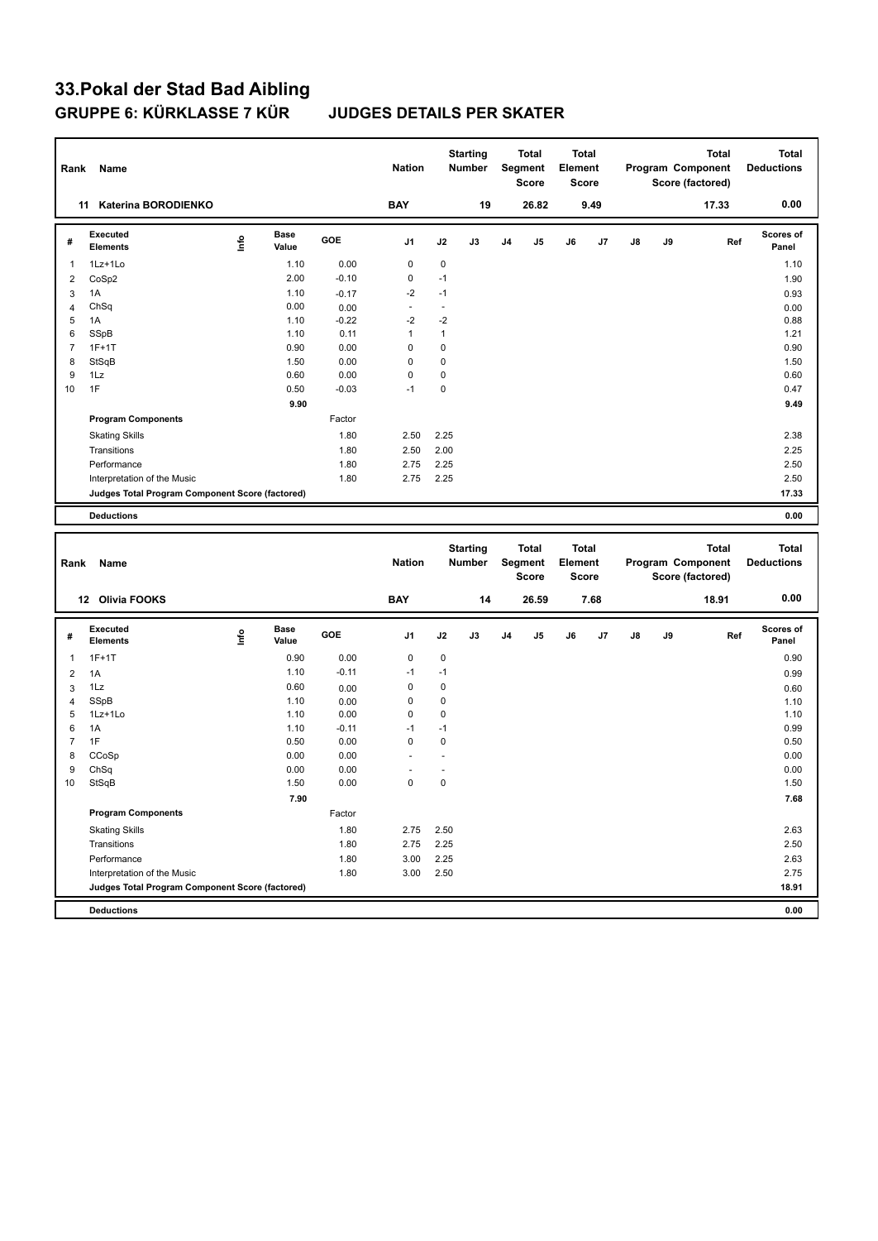| Rank                | Name                                            |      |                      |              | <b>Nation</b>        |                | <b>Starting</b><br><b>Number</b> |    | <b>Total</b><br>Segment<br><b>Score</b> | <b>Total</b><br>Element<br><b>Score</b> |      |    |    | <b>Total</b><br>Program Component<br>Score (factored) | Total<br><b>Deductions</b> |
|---------------------|-------------------------------------------------|------|----------------------|--------------|----------------------|----------------|----------------------------------|----|-----------------------------------------|-----------------------------------------|------|----|----|-------------------------------------------------------|----------------------------|
|                     | 11 Katerina BORODIENKO                          |      |                      |              | <b>BAY</b>           |                | 19                               |    | 26.82                                   |                                         | 9.49 |    |    | 17.33                                                 | 0.00                       |
| #                   | Executed<br><b>Elements</b>                     | lnfo | <b>Base</b><br>Value | GOE          | J1                   | J2             | J3                               | J4 | J5                                      | J6                                      | J7   | J8 | J9 | Ref                                                   | Scores of<br>Panel         |
| $\mathbf{1}$        | 1Lz+1Lo                                         |      | 1.10                 | 0.00         | $\mathbf 0$          | 0              |                                  |    |                                         |                                         |      |    |    |                                                       | 1.10                       |
| $\overline{2}$      | CoSp2                                           |      | 2.00                 | $-0.10$      | 0                    | $-1$           |                                  |    |                                         |                                         |      |    |    |                                                       | 1.90                       |
| 3                   | 1A                                              |      | 1.10                 | $-0.17$      | $-2$                 | $-1$           |                                  |    |                                         |                                         |      |    |    |                                                       | 0.93                       |
| $\overline{4}$      | ChSq                                            |      | 0.00                 | 0.00         | $\omega$             | ÷.             |                                  |    |                                         |                                         |      |    |    |                                                       | 0.00                       |
| 5                   | 1A                                              |      | 1.10                 | $-0.22$      | $-2$                 | $-2$           |                                  |    |                                         |                                         |      |    |    |                                                       | 0.88                       |
| 6                   | SSpB                                            |      | 1.10                 | 0.11         | $\mathbf{1}$         | $\mathbf{1}$   |                                  |    |                                         |                                         |      |    |    |                                                       | 1.21                       |
| $\overline{7}$      | $1F+1T$                                         |      | 0.90                 | 0.00         | 0                    | 0              |                                  |    |                                         |                                         |      |    |    |                                                       | 0.90                       |
| 8                   | StSqB                                           |      | 1.50                 | 0.00         | 0                    | 0              |                                  |    |                                         |                                         |      |    |    |                                                       | 1.50                       |
| 9                   | 1Lz                                             |      | 0.60                 | 0.00         | 0                    | 0              |                                  |    |                                         |                                         |      |    |    |                                                       | 0.60                       |
| 10                  | 1F                                              |      | 0.50                 | $-0.03$      | $-1$                 | 0              |                                  |    |                                         |                                         |      |    |    |                                                       | 0.47                       |
|                     |                                                 |      | 9.90                 |              |                      |                |                                  |    |                                         |                                         |      |    |    |                                                       | 9.49                       |
|                     | <b>Program Components</b>                       |      |                      | Factor       |                      |                |                                  |    |                                         |                                         |      |    |    |                                                       |                            |
|                     | <b>Skating Skills</b>                           |      |                      | 1.80         | 2.50                 | 2.25           |                                  |    |                                         |                                         |      |    |    |                                                       | 2.38                       |
|                     | Transitions                                     |      |                      | 1.80         | 2.50                 | 2.00           |                                  |    |                                         |                                         |      |    |    |                                                       | 2.25                       |
|                     | Performance                                     |      |                      | 1.80         | 2.75                 | 2.25           |                                  |    |                                         |                                         |      |    |    |                                                       | 2.50                       |
|                     | Interpretation of the Music                     |      |                      | 1.80         | 2.75                 | 2.25           |                                  |    |                                         |                                         |      |    |    |                                                       | 2.50                       |
|                     | Judges Total Program Component Score (factored) |      |                      |              |                      |                |                                  |    |                                         |                                         |      |    |    |                                                       | 17.33                      |
|                     | <b>Deductions</b>                               |      |                      |              |                      |                |                                  |    |                                         |                                         |      |    |    |                                                       | 0.00                       |
|                     |                                                 |      |                      |              |                      |                |                                  |    |                                         |                                         |      |    |    |                                                       |                            |
|                     |                                                 |      |                      |              |                      |                |                                  |    |                                         |                                         |      |    |    |                                                       |                            |
|                     |                                                 |      |                      |              |                      |                | <b>Starting</b>                  |    | <b>Total</b>                            | <b>Total</b>                            |      |    |    | <b>Total</b>                                          | <b>Total</b>               |
| Rank                | Name                                            |      |                      |              | <b>Nation</b>        |                | Number                           |    | Segment<br><b>Score</b>                 | Element<br><b>Score</b>                 |      |    |    | Program Component<br>Score (factored)                 | <b>Deductions</b>          |
|                     |                                                 |      |                      |              |                      |                |                                  |    |                                         |                                         |      |    |    |                                                       |                            |
|                     | 12 Olivia FOOKS                                 |      |                      |              | <b>BAY</b>           |                | 14                               |    | 26.59                                   |                                         | 7.68 |    |    | 18.91                                                 | 0.00                       |
| #                   | <b>Executed</b><br><b>Elements</b>              | lnfo | Base<br>Value        | GOE          | J1                   | J2             | J3                               | J4 | J5                                      | J6                                      | J7   | J8 | J9 | Ref                                                   | Scores of<br>Panel         |
|                     |                                                 |      |                      |              |                      |                |                                  |    |                                         |                                         |      |    |    |                                                       |                            |
| $\mathbf{1}$        | $1F+1T$                                         |      | 0.90                 | 0.00         | 0                    | 0              |                                  |    |                                         |                                         |      |    |    |                                                       | 0.90                       |
| $\overline{2}$      | 1A                                              |      | 1.10                 | $-0.11$      | $-1$                 | $-1$           |                                  |    |                                         |                                         |      |    |    |                                                       | 0.99                       |
| 3<br>$\overline{4}$ | 1Lz<br>SSpB                                     |      | 0.60<br>1.10         | 0.00         | 0<br>0               | 0<br>0         |                                  |    |                                         |                                         |      |    |    |                                                       | 0.60                       |
| 5                   | 1Lz+1Lo                                         |      | 1.10                 | 0.00<br>0.00 | $\mathbf 0$          | 0              |                                  |    |                                         |                                         |      |    |    |                                                       | 1.10<br>1.10               |
| 6                   | 1A                                              |      | 1.10                 | $-0.11$      | $-1$                 | $-1$           |                                  |    |                                         |                                         |      |    |    |                                                       | 0.99                       |
| $\overline{7}$      | 1F                                              |      | 0.50                 | 0.00         | $\mathbf 0$          | 0              |                                  |    |                                         |                                         |      |    |    |                                                       | 0.50                       |
| 8                   | CCoSp                                           |      | 0.00                 | 0.00         |                      | $\blacksquare$ |                                  |    |                                         |                                         |      |    |    |                                                       | 0.00                       |
| 9                   | ChSq                                            |      | 0.00                 | 0.00         | $\ddot{\phantom{1}}$ | ÷.             |                                  |    |                                         |                                         |      |    |    |                                                       | 0.00                       |
| 10                  | StSqB                                           |      | 1.50                 | 0.00         | 0                    | 0              |                                  |    |                                         |                                         |      |    |    |                                                       | 1.50                       |
|                     |                                                 |      | 7.90                 |              |                      |                |                                  |    |                                         |                                         |      |    |    |                                                       | 7.68                       |
|                     | <b>Program Components</b>                       |      |                      | Factor       |                      |                |                                  |    |                                         |                                         |      |    |    |                                                       |                            |
|                     | <b>Skating Skills</b>                           |      |                      | 1.80         | 2.75                 | 2.50           |                                  |    |                                         |                                         |      |    |    |                                                       | 2.63                       |
|                     | Transitions                                     |      |                      | 1.80         | 2.75                 | 2.25           |                                  |    |                                         |                                         |      |    |    |                                                       | 2.50                       |
|                     | Performance                                     |      |                      | 1.80         | 3.00                 | 2.25           |                                  |    |                                         |                                         |      |    |    |                                                       | 2.63                       |
|                     | Interpretation of the Music                     |      |                      | 1.80         | 3.00                 | 2.50           |                                  |    |                                         |                                         |      |    |    |                                                       | 2.75                       |
|                     | Judges Total Program Component Score (factored) |      |                      |              |                      |                |                                  |    |                                         |                                         |      |    |    |                                                       | 18.91                      |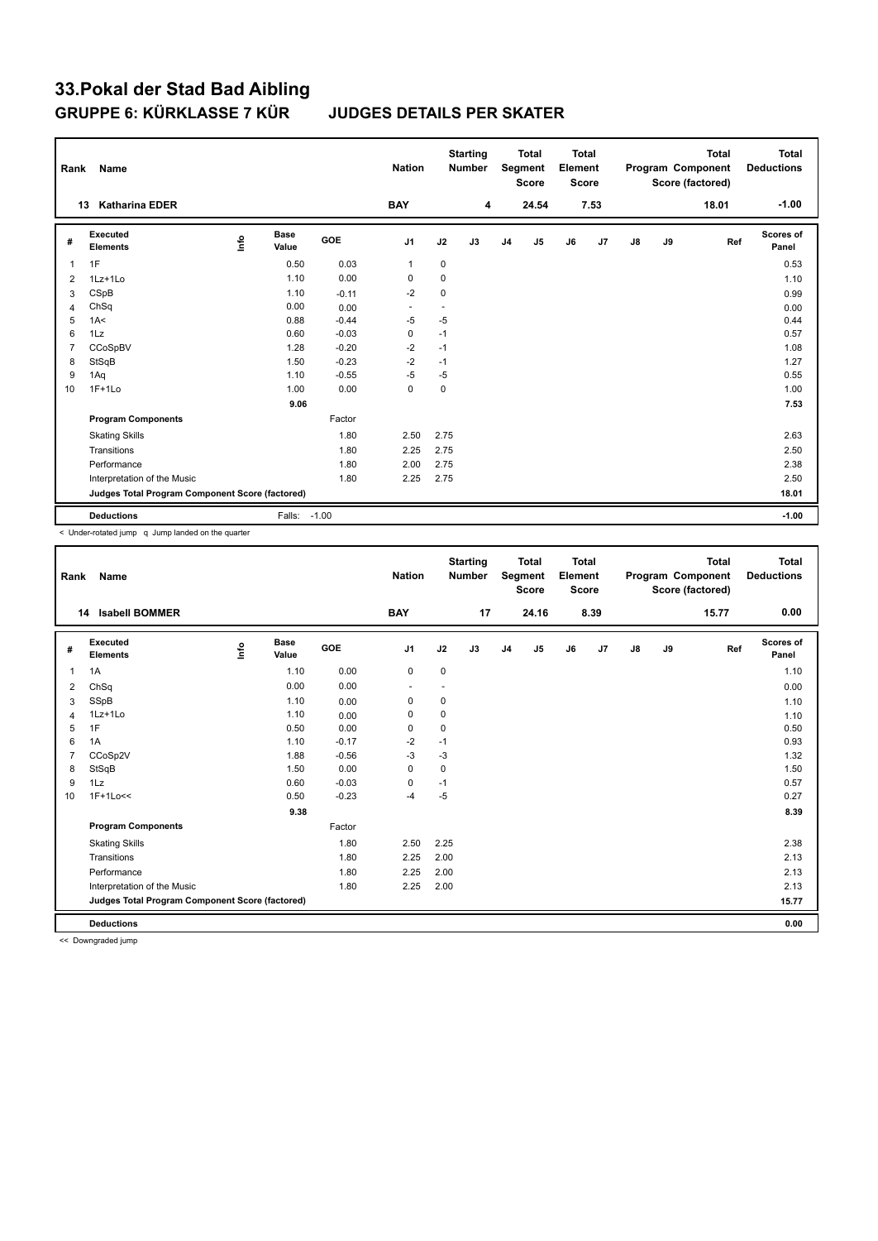| Rank           | Name                                            |      |                      |         | <b>Nation</b>  |             | <b>Starting</b><br><b>Number</b> |                | <b>Total</b><br><b>Segment</b><br><b>Score</b> | <b>Total</b><br>Element<br><b>Score</b> |                |               |    | <b>Total</b><br>Program Component<br>Score (factored) | <b>Total</b><br><b>Deductions</b> |
|----------------|-------------------------------------------------|------|----------------------|---------|----------------|-------------|----------------------------------|----------------|------------------------------------------------|-----------------------------------------|----------------|---------------|----|-------------------------------------------------------|-----------------------------------|
|                | 13<br><b>Katharina EDER</b>                     |      |                      |         | <b>BAY</b>     |             | 4                                |                | 24.54                                          |                                         | 7.53           |               |    | 18.01                                                 | $-1.00$                           |
| #              | Executed<br><b>Elements</b>                     | lnfo | <b>Base</b><br>Value | GOE     | J <sub>1</sub> | J2          | J3                               | J <sub>4</sub> | J5                                             | J6                                      | J <sub>7</sub> | $\mathsf{J}8$ | J9 | Ref                                                   | <b>Scores of</b><br>Panel         |
| 1              | 1F                                              |      | 0.50                 | 0.03    | $\mathbf{1}$   | $\mathbf 0$ |                                  |                |                                                |                                         |                |               |    |                                                       | 0.53                              |
| 2              | 1Lz+1Lo                                         |      | 1.10                 | 0.00    | 0              | 0           |                                  |                |                                                |                                         |                |               |    |                                                       | 1.10                              |
| 3              | CSpB                                            |      | 1.10                 | $-0.11$ | $-2$           | $\mathbf 0$ |                                  |                |                                                |                                         |                |               |    |                                                       | 0.99                              |
| 4              | ChSq                                            |      | 0.00                 | 0.00    |                | ٠           |                                  |                |                                                |                                         |                |               |    |                                                       | 0.00                              |
| 5              | 1A<                                             |      | 0.88                 | $-0.44$ | $-5$           | $-5$        |                                  |                |                                                |                                         |                |               |    |                                                       | 0.44                              |
| 6              | 1Lz                                             |      | 0.60                 | $-0.03$ | $\mathbf 0$    | $-1$        |                                  |                |                                                |                                         |                |               |    |                                                       | 0.57                              |
| $\overline{7}$ | CCoSpBV                                         |      | 1.28                 | $-0.20$ | $-2$           | $-1$        |                                  |                |                                                |                                         |                |               |    |                                                       | 1.08                              |
| 8              | StSqB                                           |      | 1.50                 | $-0.23$ | $-2$           | $-1$        |                                  |                |                                                |                                         |                |               |    |                                                       | 1.27                              |
| 9              | 1Aq                                             |      | 1.10                 | $-0.55$ | $-5$           | $-5$        |                                  |                |                                                |                                         |                |               |    |                                                       | 0.55                              |
| 10             | $1F+1Lo$                                        |      | 1.00                 | 0.00    | $\mathbf 0$    | 0           |                                  |                |                                                |                                         |                |               |    |                                                       | 1.00                              |
|                |                                                 |      | 9.06                 |         |                |             |                                  |                |                                                |                                         |                |               |    |                                                       | 7.53                              |
|                | <b>Program Components</b>                       |      |                      | Factor  |                |             |                                  |                |                                                |                                         |                |               |    |                                                       |                                   |
|                | <b>Skating Skills</b>                           |      |                      | 1.80    | 2.50           | 2.75        |                                  |                |                                                |                                         |                |               |    |                                                       | 2.63                              |
|                | Transitions                                     |      |                      | 1.80    | 2.25           | 2.75        |                                  |                |                                                |                                         |                |               |    |                                                       | 2.50                              |
|                | Performance                                     |      |                      | 1.80    | 2.00           | 2.75        |                                  |                |                                                |                                         |                |               |    |                                                       | 2.38                              |
|                | Interpretation of the Music                     |      |                      | 1.80    | 2.25           | 2.75        |                                  |                |                                                |                                         |                |               |    |                                                       | 2.50                              |
|                | Judges Total Program Component Score (factored) |      |                      |         |                |             |                                  |                |                                                |                                         |                |               |    |                                                       | 18.01                             |
|                | <b>Deductions</b>                               |      | Falls: -1.00         |         |                |             |                                  |                |                                                |                                         |                |               |    |                                                       | $-1.00$                           |

< Under-rotated jump q Jump landed on the quarter

| Rank           | Name                                            |      |                      |         | <b>Nation</b>            |             | <b>Starting</b><br><b>Number</b> |                | <b>Total</b><br>Segment<br><b>Score</b> | <b>Total</b><br>Element<br><b>Score</b> |      |    |    | <b>Total</b><br>Program Component<br>Score (factored) | Total<br><b>Deductions</b> |
|----------------|-------------------------------------------------|------|----------------------|---------|--------------------------|-------------|----------------------------------|----------------|-----------------------------------------|-----------------------------------------|------|----|----|-------------------------------------------------------|----------------------------|
|                | <b>Isabell BOMMER</b><br>14                     |      |                      |         | <b>BAY</b>               |             | 17                               |                | 24.16                                   |                                         | 8.39 |    |    | 15.77                                                 | 0.00                       |
| #              | Executed<br><b>Elements</b>                     | Info | <b>Base</b><br>Value | GOE     | J1                       | J2          | J3                               | J <sub>4</sub> | J5                                      | J6                                      | J7   | J8 | J9 | Ref                                                   | Scores of<br>Panel         |
| $\mathbf{1}$   | 1A                                              |      | 1.10                 | 0.00    | $\mathbf 0$              | $\mathbf 0$ |                                  |                |                                         |                                         |      |    |    |                                                       | 1.10                       |
| 2              | ChSq                                            |      | 0.00                 | 0.00    | $\overline{\phantom{a}}$ |             |                                  |                |                                         |                                         |      |    |    |                                                       | 0.00                       |
| 3              | SSpB                                            |      | 1.10                 | 0.00    | 0                        | 0           |                                  |                |                                         |                                         |      |    |    |                                                       | 1.10                       |
| $\overline{4}$ | 1Lz+1Lo                                         |      | 1.10                 | 0.00    | $\mathbf 0$              | $\mathbf 0$ |                                  |                |                                         |                                         |      |    |    |                                                       | 1.10                       |
| 5              | 1F                                              |      | 0.50                 | 0.00    | $\mathbf 0$              | 0           |                                  |                |                                         |                                         |      |    |    |                                                       | 0.50                       |
| 6              | 1A                                              |      | 1.10                 | $-0.17$ | $-2$                     | $-1$        |                                  |                |                                         |                                         |      |    |    |                                                       | 0.93                       |
| $\overline{7}$ | CCoSp2V                                         |      | 1.88                 | $-0.56$ | $-3$                     | $-3$        |                                  |                |                                         |                                         |      |    |    |                                                       | 1.32                       |
| 8              | StSqB                                           |      | 1.50                 | 0.00    | $\mathbf 0$              | $\mathbf 0$ |                                  |                |                                         |                                         |      |    |    |                                                       | 1.50                       |
| 9              | 1Lz                                             |      | 0.60                 | $-0.03$ | 0                        | $-1$        |                                  |                |                                         |                                         |      |    |    |                                                       | 0.57                       |
| 10             | $1F+1Lo<<$                                      |      | 0.50                 | $-0.23$ | $-4$                     | $-5$        |                                  |                |                                         |                                         |      |    |    |                                                       | 0.27                       |
|                |                                                 |      | 9.38                 |         |                          |             |                                  |                |                                         |                                         |      |    |    |                                                       | 8.39                       |
|                | <b>Program Components</b>                       |      |                      | Factor  |                          |             |                                  |                |                                         |                                         |      |    |    |                                                       |                            |
|                | <b>Skating Skills</b>                           |      |                      | 1.80    | 2.50                     | 2.25        |                                  |                |                                         |                                         |      |    |    |                                                       | 2.38                       |
|                | Transitions                                     |      |                      | 1.80    | 2.25                     | 2.00        |                                  |                |                                         |                                         |      |    |    |                                                       | 2.13                       |
|                | Performance                                     |      |                      | 1.80    | 2.25                     | 2.00        |                                  |                |                                         |                                         |      |    |    |                                                       | 2.13                       |
|                | Interpretation of the Music                     |      |                      | 1.80    | 2.25                     | 2.00        |                                  |                |                                         |                                         |      |    |    |                                                       | 2.13                       |
|                | Judges Total Program Component Score (factored) |      |                      |         |                          |             |                                  |                |                                         |                                         |      |    |    |                                                       | 15.77                      |
|                | <b>Deductions</b>                               |      |                      |         |                          |             |                                  |                |                                         |                                         |      |    |    |                                                       | 0.00                       |

<< Downgraded jump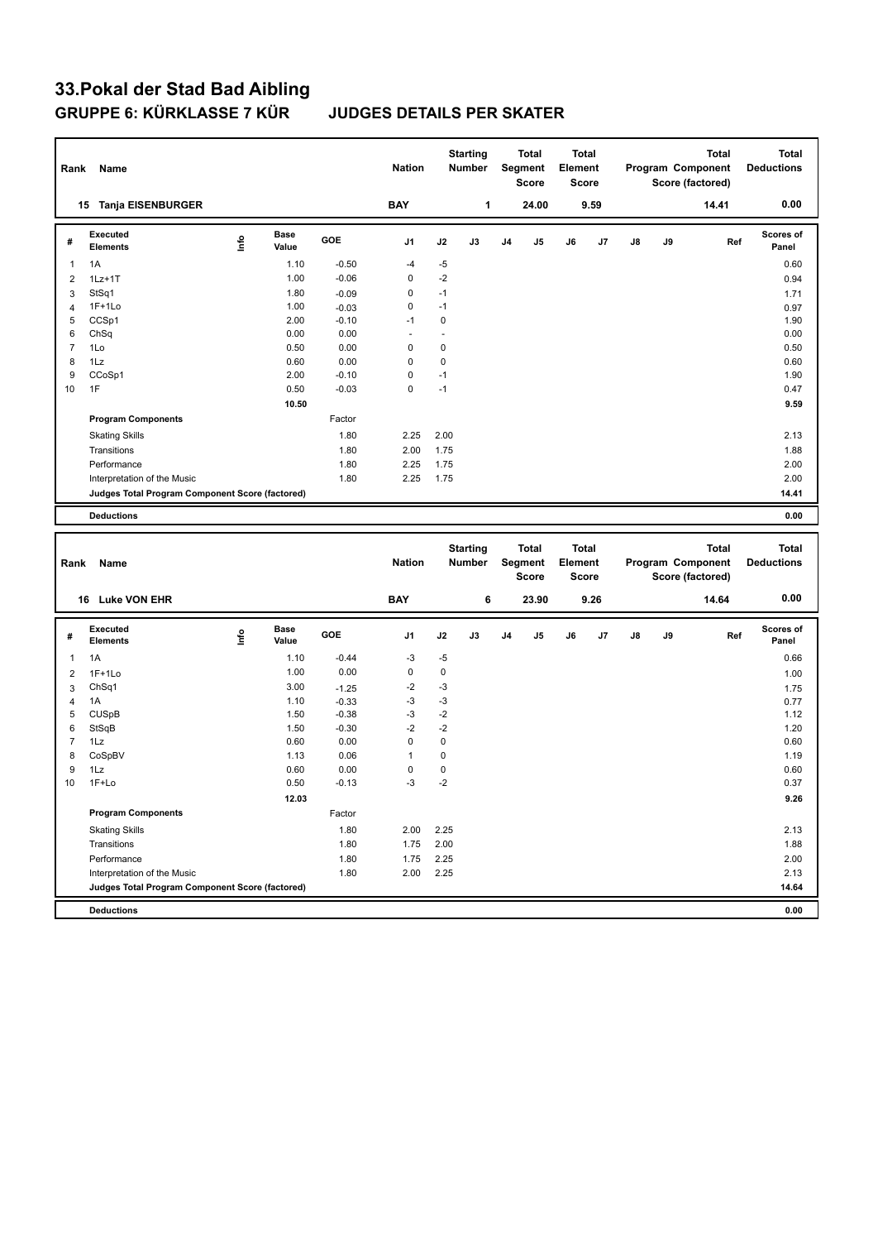# **33.Pokal der Stad Bad Aibling**

### **JUDGES DETAILS PER SKATER**

| Rank           | Name                                            |      |                      |         | <b>Nation</b> |              | <b>Starting</b><br>Number |                | Total<br>Segment<br><b>Score</b> | Element | Total<br><b>Score</b> |    |    | <b>Total</b><br>Program Component<br>Score (factored) |     | <b>Total</b><br><b>Deductions</b> |
|----------------|-------------------------------------------------|------|----------------------|---------|---------------|--------------|---------------------------|----------------|----------------------------------|---------|-----------------------|----|----|-------------------------------------------------------|-----|-----------------------------------|
|                | 15 Tanja EISENBURGER                            |      |                      |         | <b>BAY</b>    |              | $\mathbf{1}$              |                | 24.00                            |         | 9.59                  |    |    | 14.41                                                 |     | 0.00                              |
| #              | <b>Executed</b><br><b>Elements</b>              | lnfo | <b>Base</b><br>Value | GOE     | J1            | J2           | J3                        | J <sub>4</sub> | J5                               | J6      | J7                    | J8 | J9 |                                                       | Ref | Scores of<br>Panel                |
| 1              | 1A                                              |      | 1.10                 | $-0.50$ | $-4$          | -5           |                           |                |                                  |         |                       |    |    |                                                       |     | 0.60                              |
| 2              | $1Lz+1T$                                        |      | 1.00                 | $-0.06$ | $\mathbf 0$   | $-2$         |                           |                |                                  |         |                       |    |    |                                                       |     | 0.94                              |
| 3              | StSq1                                           |      | 1.80                 | $-0.09$ | $\mathsf 0$   | $-1$         |                           |                |                                  |         |                       |    |    |                                                       |     | 1.71                              |
| $\overline{4}$ | $1F+1Lo$                                        |      | 1.00                 | $-0.03$ | 0             | $-1$         |                           |                |                                  |         |                       |    |    |                                                       |     | 0.97                              |
| 5              | CCSp1                                           |      | 2.00                 | $-0.10$ | $-1$          | $\mathbf 0$  |                           |                |                                  |         |                       |    |    |                                                       |     | 1.90                              |
| 6              | ChSq                                            |      | 0.00                 | 0.00    | ä,            | $\mathbf{r}$ |                           |                |                                  |         |                       |    |    |                                                       |     | 0.00                              |
| $\overline{7}$ | 1Lo                                             |      | 0.50                 | 0.00    | $\mathbf 0$   | $\mathbf 0$  |                           |                |                                  |         |                       |    |    |                                                       |     | 0.50                              |
| 8              | 1Lz                                             |      | 0.60                 | 0.00    | $\mathbf 0$   | $\pmb{0}$    |                           |                |                                  |         |                       |    |    |                                                       |     | 0.60                              |
| 9              | CCoSp1                                          |      | 2.00                 | $-0.10$ | $\mathsf 0$   | $-1$         |                           |                |                                  |         |                       |    |    |                                                       |     | 1.90                              |
| 10             | 1F                                              |      | 0.50                 | $-0.03$ | $\mathbf 0$   | $-1$         |                           |                |                                  |         |                       |    |    |                                                       |     | 0.47                              |
|                |                                                 |      | 10.50                |         |               |              |                           |                |                                  |         |                       |    |    |                                                       |     | 9.59                              |
|                | <b>Program Components</b>                       |      |                      | Factor  |               |              |                           |                |                                  |         |                       |    |    |                                                       |     |                                   |
|                | <b>Skating Skills</b>                           |      |                      | 1.80    | 2.25          | 2.00         |                           |                |                                  |         |                       |    |    |                                                       |     | 2.13                              |
|                | Transitions                                     |      |                      | 1.80    | 2.00          | 1.75         |                           |                |                                  |         |                       |    |    |                                                       |     | 1.88                              |
|                | Performance                                     |      |                      | 1.80    | 2.25          | 1.75         |                           |                |                                  |         |                       |    |    |                                                       |     | 2.00                              |
|                | Interpretation of the Music                     |      |                      | 1.80    | 2.25          | 1.75         |                           |                |                                  |         |                       |    |    |                                                       |     | 2.00                              |
|                | Judges Total Program Component Score (factored) |      |                      |         |               |              |                           |                |                                  |         |                       |    |    |                                                       |     | 14.41                             |
|                | <b>Deductions</b>                               |      |                      |         |               |              |                           |                |                                  |         |                       |    |    |                                                       |     | 0.00                              |
|                |                                                 |      |                      |         |               |              |                           |                |                                  |         |                       |    |    |                                                       |     |                                   |
|                |                                                 |      |                      |         |               |              |                           |                |                                  |         |                       |    |    |                                                       |     |                                   |
|                |                                                 |      |                      |         |               |              | <b>Starting</b>           |                | <b>Total</b>                     |         | <b>Total</b>          |    |    | <b>Total</b>                                          |     | <b>Total</b>                      |
| Rank           | Name                                            |      |                      |         | <b>Nation</b> |              | <b>Number</b>             |                | Segment                          | Element |                       |    |    | Program Component                                     |     | <b>Deductions</b>                 |
|                |                                                 |      |                      |         |               |              |                           |                | <b>Score</b>                     |         | <b>Score</b>          |    |    | Score (factored)                                      |     |                                   |
|                |                                                 |      |                      |         |               |              |                           |                |                                  |         |                       |    |    |                                                       |     |                                   |
|                | 16 Luke VON EHR                                 |      |                      |         | <b>BAY</b>    |              | 6                         |                | 23.90                            |         | 9.26                  |    |    | 14.64                                                 |     | 0.00                              |
| #              | <b>Executed</b>                                 |      | Base                 | GOE     | J1            | J2           | J3                        | J <sub>4</sub> | J5                               | J6      | J7                    | J8 | J9 |                                                       | Ref | Scores of                         |
|                | <b>Elements</b>                                 | ١nf٥ | Value                |         |               |              |                           |                |                                  |         |                       |    |    |                                                       |     | Panel                             |
| 1              | 1A                                              |      | 1.10                 | $-0.44$ | $-3$          | $-5$         |                           |                |                                  |         |                       |    |    |                                                       |     | 0.66                              |
| $\overline{2}$ | $1F+1Lo$                                        |      | 1.00                 | 0.00    | $\pmb{0}$     | $\pmb{0}$    |                           |                |                                  |         |                       |    |    |                                                       |     | 1.00                              |
| 3              | Ch <sub>Sq1</sub>                               |      | 3.00                 | $-1.25$ | $-2$          | -3           |                           |                |                                  |         |                       |    |    |                                                       |     | 1.75                              |
| $\overline{4}$ | 1A                                              |      | 1.10                 | $-0.33$ | $-3$          | $-3$         |                           |                |                                  |         |                       |    |    |                                                       |     | 0.77                              |
| 5              | <b>CUSpB</b>                                    |      | 1.50                 | $-0.38$ | $-3$          | $-2$         |                           |                |                                  |         |                       |    |    |                                                       |     | 1.12                              |
| 6              | StSqB                                           |      | 1.50                 | $-0.30$ | $-2$          | $-2$         |                           |                |                                  |         |                       |    |    |                                                       |     | 1.20                              |
| $\overline{7}$ | 1Lz                                             |      | 0.60                 | 0.00    | $\mathbf 0$   | $\pmb{0}$    |                           |                |                                  |         |                       |    |    |                                                       |     | 0.60                              |
| 8              | CoSpBV                                          |      | 1.13                 | 0.06    | $\mathbf{1}$  | $\pmb{0}$    |                           |                |                                  |         |                       |    |    |                                                       |     | 1.19                              |
| 9              | 1Lz                                             |      | 0.60                 | 0.00    | $\mathbf 0$   | $\mathbf 0$  |                           |                |                                  |         |                       |    |    |                                                       |     | 0.60                              |
| 10             | 1F+Lo                                           |      | 0.50                 | $-0.13$ | $-3$          | $-2$         |                           |                |                                  |         |                       |    |    |                                                       |     | 0.37                              |
|                |                                                 |      | 12.03                |         |               |              |                           |                |                                  |         |                       |    |    |                                                       |     | 9.26                              |
|                | <b>Program Components</b>                       |      |                      | Factor  |               |              |                           |                |                                  |         |                       |    |    |                                                       |     |                                   |
|                | <b>Skating Skills</b>                           |      |                      | 1.80    | 2.00          | 2.25         |                           |                |                                  |         |                       |    |    |                                                       |     | 2.13                              |
|                | Transitions                                     |      |                      | 1.80    | 1.75          | 2.00         |                           |                |                                  |         |                       |    |    |                                                       |     | 1.88                              |
|                | Performance                                     |      |                      | 1.80    | 1.75          | 2.25         |                           |                |                                  |         |                       |    |    |                                                       |     | 2.00                              |
|                | Interpretation of the Music                     |      |                      | 1.80    | 2.00          | 2.25         |                           |                |                                  |         |                       |    |    |                                                       |     | 2.13                              |
|                | Judges Total Program Component Score (factored) |      |                      |         |               |              |                           |                |                                  |         |                       |    |    |                                                       |     | 14.64                             |